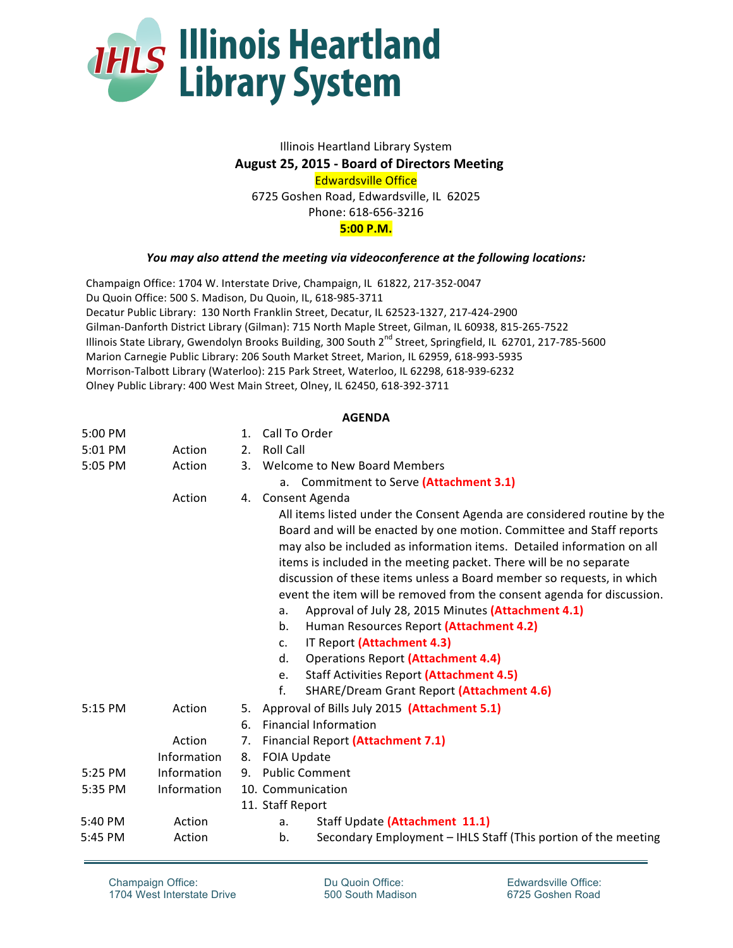

## Illinois Heartland Library System **August 25, 2015 - Board of Directors Meeting Edwardsville Office** 6725 Goshen Road, Edwardsville, IL 62025 Phone: 618-656-3216 **5:00 P.M.**

## *You* may also attend the meeting via videoconference at the following locations:

Champaign Office: 1704 W. Interstate Drive, Champaign, IL 61822, 217-352-0047 Du Quoin Office: 500 S. Madison, Du Quoin, IL, 618-985-3711 Decatur Public Library: 130 North Franklin Street, Decatur, IL 62523-1327, 217-424-2900 Gilman-Danforth District Library (Gilman): 715 North Maple Street, Gilman, IL 60938, 815-265-7522 Illinois State Library, Gwendolyn Brooks Building, 300 South 2<sup>nd</sup> Street, Springfield, IL 62701, 217-785-5600 Marion Carnegie Public Library: 206 South Market Street, Marion, IL 62959, 618-993-5935 Morrison-Talbott Library (Waterloo): 215 Park Street, Waterloo, IL 62298, 618-939-6232 Olney Public Library: 400 West Main Street, Olney, IL 62450, 618-392-3711

## **AGENDA**

| 5:00 PM |             | $\mathbf{1}$ . | Call To Order                                                                                                                                                                                                                                                                                                                                                                                                                                                                                                                                                                                                                                                                                                                                                                      |
|---------|-------------|----------------|------------------------------------------------------------------------------------------------------------------------------------------------------------------------------------------------------------------------------------------------------------------------------------------------------------------------------------------------------------------------------------------------------------------------------------------------------------------------------------------------------------------------------------------------------------------------------------------------------------------------------------------------------------------------------------------------------------------------------------------------------------------------------------|
| 5:01 PM | Action      | 2.             | <b>Roll Call</b>                                                                                                                                                                                                                                                                                                                                                                                                                                                                                                                                                                                                                                                                                                                                                                   |
| 5:05 PM | Action      |                | 3. Welcome to New Board Members                                                                                                                                                                                                                                                                                                                                                                                                                                                                                                                                                                                                                                                                                                                                                    |
|         |             |                | a. Commitment to Serve (Attachment 3.1)                                                                                                                                                                                                                                                                                                                                                                                                                                                                                                                                                                                                                                                                                                                                            |
|         | Action      | 4.             | Consent Agenda                                                                                                                                                                                                                                                                                                                                                                                                                                                                                                                                                                                                                                                                                                                                                                     |
|         |             |                | All items listed under the Consent Agenda are considered routine by the<br>Board and will be enacted by one motion. Committee and Staff reports<br>may also be included as information items. Detailed information on all<br>items is included in the meeting packet. There will be no separate<br>discussion of these items unless a Board member so requests, in which<br>event the item will be removed from the consent agenda for discussion.<br>Approval of July 28, 2015 Minutes (Attachment 4.1)<br>a.<br>b.<br>Human Resources Report (Attachment 4.2)<br>IT Report (Attachment 4.3)<br>$C_{\star}$<br><b>Operations Report (Attachment 4.4)</b><br>d.<br><b>Staff Activities Report (Attachment 4.5)</b><br>e.<br>f.<br><b>SHARE/Dream Grant Report (Attachment 4.6)</b> |
| 5:15 PM | Action      | 5.             | Approval of Bills July 2015 (Attachment 5.1)                                                                                                                                                                                                                                                                                                                                                                                                                                                                                                                                                                                                                                                                                                                                       |
|         |             | 6.             | <b>Financial Information</b>                                                                                                                                                                                                                                                                                                                                                                                                                                                                                                                                                                                                                                                                                                                                                       |
|         | Action      | 7.             | Financial Report (Attachment 7.1)                                                                                                                                                                                                                                                                                                                                                                                                                                                                                                                                                                                                                                                                                                                                                  |
|         | Information | 8.             | <b>FOIA Update</b>                                                                                                                                                                                                                                                                                                                                                                                                                                                                                                                                                                                                                                                                                                                                                                 |
| 5:25 PM | Information |                | 9. Public Comment                                                                                                                                                                                                                                                                                                                                                                                                                                                                                                                                                                                                                                                                                                                                                                  |
| 5:35 PM | Information |                | 10. Communication                                                                                                                                                                                                                                                                                                                                                                                                                                                                                                                                                                                                                                                                                                                                                                  |
|         |             |                | 11. Staff Report                                                                                                                                                                                                                                                                                                                                                                                                                                                                                                                                                                                                                                                                                                                                                                   |
| 5:40 PM | Action      |                | Staff Update (Attachment 11.1)<br>a.                                                                                                                                                                                                                                                                                                                                                                                                                                                                                                                                                                                                                                                                                                                                               |
| 5:45 PM | Action      |                | Secondary Employment - IHLS Staff (This portion of the meeting<br>b.                                                                                                                                                                                                                                                                                                                                                                                                                                                                                                                                                                                                                                                                                                               |

Champaign Office: 1704 West Interstate Drive Du Quoin Office: 500 South Madison Edwardsville Office: 6725 Goshen Road